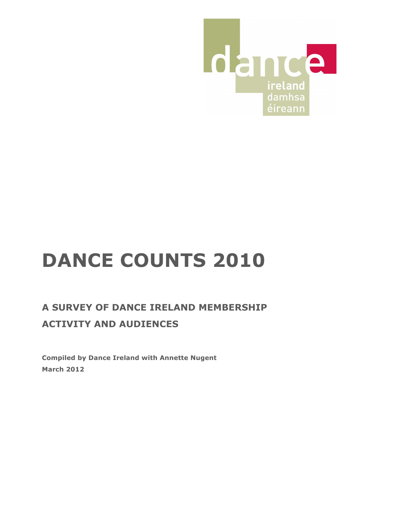

# **DANCE COUNTS 2010**

# **A SURVEY OF DANCE IRELAND MEMBERSHIP ACTIVITY AND AUDIENCES**

**Compiled by Dance Ireland with Annette Nugent March 2012**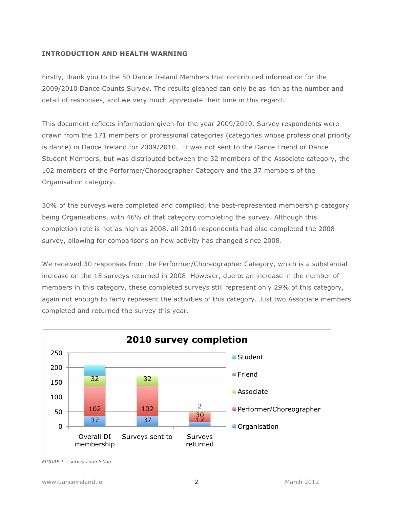# **INTRODUCTION AND HEALTH WARNING**

Firstly, thank you to the 50 Dance Ireland Members that contributed information for the 2009/2010 Dance Counts Survey. The results gleaned can only be as rich as the number and detail of responses, and we very much appreciate their time in this regard.

This document reflects information given for the year 2009/2010. Survey respondents were drawn from the 171 members of professional categories (categories whose professional priority is dance) in Dance Ireland for 2009/2010. It was not sent to the Dance Friend or Dance Student Members, but was distributed between the 32 members of the Associate category, the 102 members of the Performer/Choreographer Category and the 37 members of the Organisation category.

30% of the surveys were completed and compiled, the best-represented membership category being Organisations, with 46% of that category completing the survey. Although this completion rate is not as high as 2008, all 2010 respondents had also completed the 2008 survey, allowing for comparisons on how activity has changed since 2008.

We received 30 responses from the Performer/Choreographer Category, which is a substantial increase on the 15 surveys returned in 2008. However, due to an increase in the number of members in this category, these completed surveys still represent only 29% of this category, again not enough to fairly represent the activities of this category. Just two Associate members completed and returned the survey this year.



*FIGURE 1 – survey completion*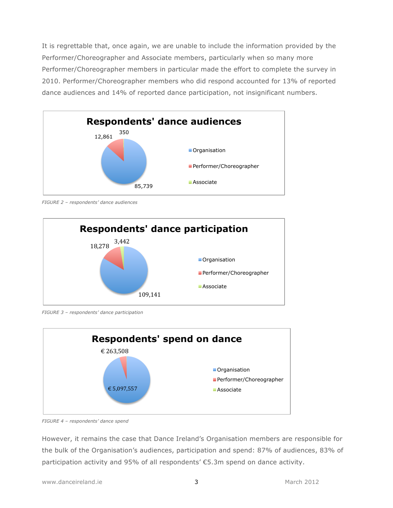It is regrettable that, once again, we are unable to include the information provided by the Performer/Choreographer and Associate members, particularly when so many more Performer/Choreographer members in particular made the effort to complete the survey in 2010. Performer/Choreographer members who did respond accounted for 13% of reported dance audiences and 14% of reported dance participation, not insignificant numbers.



*FIGURE 2 – respondents' dance audiences*



*FIGURE 3 – respondents' dance participation*



*FIGURE 4 – respondents' dance spend*

However, it remains the case that Dance Ireland's Organisation members are responsible for the bulk of the Organisation's audiences, participation and spend: 87% of audiences, 83% of participation activity and 95% of all respondents' €5.3m spend on dance activity.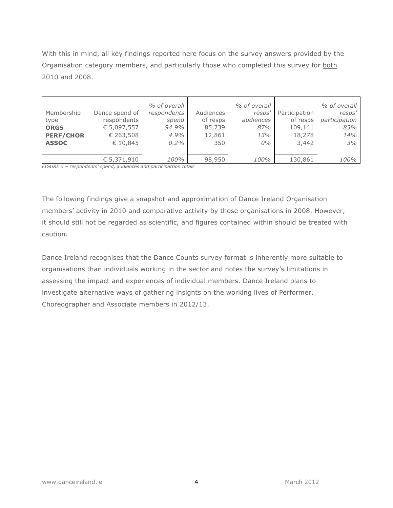With this in mind, all key findings reported here focus on the survey answers provided by the Organisation category members, and particularly those who completed this survey for both 2010 and 2008.

| Membership<br>type<br><b>ORGS</b><br><b>PERF/CHOR</b><br><b>ASSOC</b> | Dance spend of<br>respondents<br>€ 5,097,557<br>€ 263,508<br>€ 10,845 | % of overall<br>respondents<br>spend<br>94.9%<br>4.9%<br>$0.2\%$ | Audiences<br>of resps<br>85,739<br>12,861<br>350 | % of overall<br>resps'<br>audiences<br>87%<br>13%<br>$0\%$ | Participation<br>of resps<br>109,141<br>18,278<br>3,442 | % of overall<br>resps'<br>participation<br>83%<br>14%<br>3% |
|-----------------------------------------------------------------------|-----------------------------------------------------------------------|------------------------------------------------------------------|--------------------------------------------------|------------------------------------------------------------|---------------------------------------------------------|-------------------------------------------------------------|
| $-70110 - 7$                                                          | € 5,371,910                                                           | 100%                                                             | 98,950                                           | 100%                                                       | 130,861                                                 | 100%                                                        |

*FIGURE 5 – respondents' spend, audiences and participattion totals*

The following findings give a snapshot and approximation of Dance Ireland Organisation members' activity in 2010 and comparative activity by those organisations in 2008. However, it should still not be regarded as scientific, and figures contained within should be treated with caution.

Dance Ireland recognises that the Dance Counts survey format is inherently more suitable to organisations than individuals working in the sector and notes the survey's limitations in assessing the impact and experiences of individual members. Dance Ireland plans to investigate alternative ways of gathering insights on the working lives of Performer, Choreographer and Associate members in 2012/13.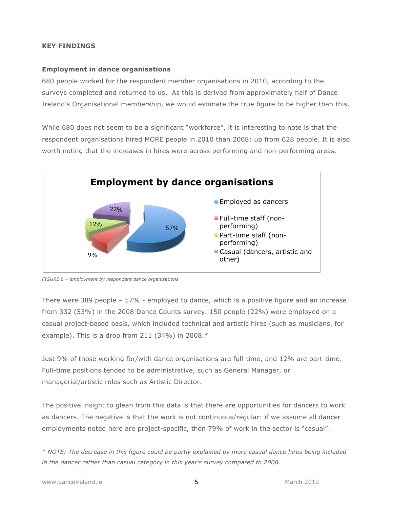# **KEY FINDINGS**

#### **Employment in dance organisations**

680 people worked for the respondent member organisations in 2010, according to the surveys completed and returned to us. As this is derived from approximately half of Dance Ireland's Organisational membership, we would estimate the true figure to be higher than this.

While 680 does not seem to be a significant "workforce", it is interesting to note is that the respondent organisations hired MORE people in 2010 than 2008: up from 628 people. It is also worth noting that the increases in hires were across performing and non-performing areas.



*FIGURE 6 – employment by respondent dance organisations*

There were 389 people – 57% - employed to dance, which is a positive figure and an increase from 332 (53%) in the 2008 Dance Counts survey. 150 people (22%) were employed on a casual project-based basis, which included technical and artistic hires (such as musicians, for example). This is a drop from 211 (34%) in 2008.\*

Just 9% of those working for/with dance organisations are full-time, and 12% are part-time. Full-time positions tended to be administrative, such as General Manager, or managerial/artistic roles such as Artistic Director.

The positive insight to glean from this data is that there are opportunities for dancers to work as dancers. The negative is that the work is not continuous/regular: if we assume all dancer employments noted here are project-specific, then 79% of work in the sector is "casual".

*\* NOTE: The decrease in this figure could be partly explained by more casual dance hires being included in the dancer rather than casual category in this year's survey compared to 2008.*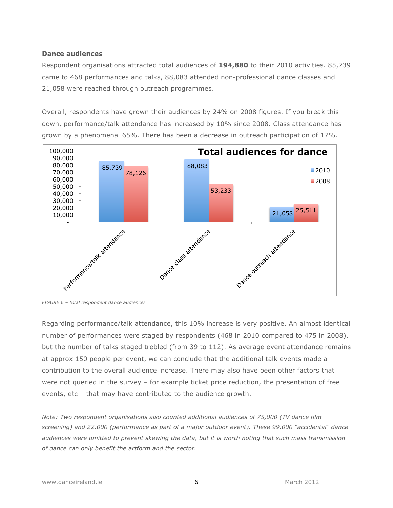#### **Dance audiences**

Respondent organisations attracted total audiences of **194,880** to their 2010 activities. 85,739 came to 468 performances and talks, 88,083 attended non-professional dance classes and 21,058 were reached through outreach programmes.

Overall, respondents have grown their audiences by 24% on 2008 figures. If you break this down, performance/talk attendance has increased by 10% since 2008. Class attendance has grown by a phenomenal 65%. There has been a decrease in outreach participation of 17%.



*FIGURE 6 – total respondent dance audiences*

Regarding performance/talk attendance, this 10% increase is very positive. An almost identical number of performances were staged by respondents (468 in 2010 compared to 475 in 2008), but the number of talks staged trebled (from 39 to 112). As average event attendance remains at approx 150 people per event, we can conclude that the additional talk events made a contribution to the overall audience increase. There may also have been other factors that were not queried in the survey – for example ticket price reduction, the presentation of free events, etc – that may have contributed to the audience growth.

*Note: Two respondent organisations also counted additional audiences of 75,000 (TV dance film screening) and 22,000 (performance as part of a major outdoor event). These 99,000 "accidental" dance audiences were omitted to prevent skewing the data, but it is worth noting that such mass transmission of dance can only benefit the artform and the sector.*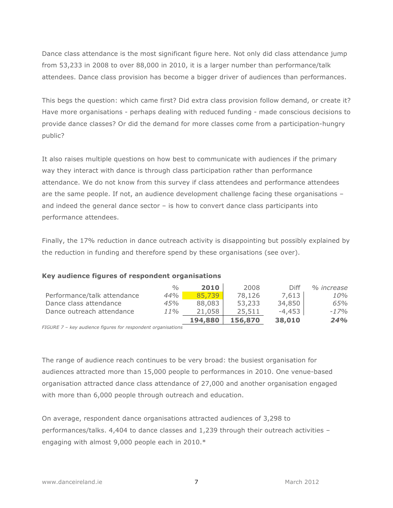Dance class attendance is the most significant figure here. Not only did class attendance jump from 53,233 in 2008 to over 88,000 in 2010, it is a larger number than performance/talk attendees. Dance class provision has become a bigger driver of audiences than performances.

This begs the question: which came first? Did extra class provision follow demand, or create it? Have more organisations - perhaps dealing with reduced funding - made conscious decisions to provide dance classes? Or did the demand for more classes come from a participation-hungry public?

It also raises multiple questions on how best to communicate with audiences if the primary way they interact with dance is through class participation rather than performance attendance. We do not know from this survey if class attendees and performance attendees are the same people. If not, an audience development challenge facing these organisations – and indeed the general dance sector – is how to convert dance class participants into performance attendees.

Finally, the 17% reduction in dance outreach activity is disappointing but possibly explained by the reduction in funding and therefore spend by these organisations (see over).

|                             | $\frac{0}{0}$ | 2010    | 2008    | Diff   | % increase |
|-----------------------------|---------------|---------|---------|--------|------------|
| Performance/talk attendance | 44%           | 85,739  | 78,126  | 7,613  | 10%        |
| Dance class attendance      | 45%           | 88,083  | 53,233  | 34,850 | 65%        |
| Dance outreach attendance   | 11%           | 21,058  | 25,511  | -4,453 | $-17%$     |
|                             |               | 194,880 | 156,870 | 38,010 | 24%        |

#### **Key audience figures of respondent organisations**

*FIGURE 7 – key audience figures for respondent organisations*

The range of audience reach continues to be very broad: the busiest organisation for audiences attracted more than 15,000 people to performances in 2010. One venue-based organisation attracted dance class attendance of 27,000 and another organisation engaged with more than 6,000 people through outreach and education.

On average, respondent dance organisations attracted audiences of 3,298 to performances/talks. 4,404 to dance classes and 1,239 through their outreach activities – engaging with almost 9,000 people each in 2010.\*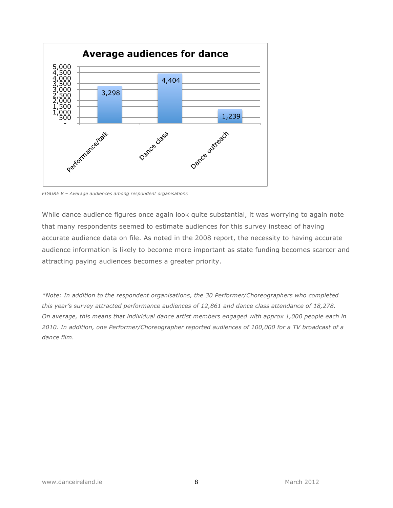

*FIGURE 8 – Average audiences among respondent organisations*

While dance audience figures once again look quite substantial, it was worrying to again note that many respondents seemed to estimate audiences for this survey instead of having accurate audience data on file. As noted in the 2008 report, the necessity to having accurate audience information is likely to become more important as state funding becomes scarcer and attracting paying audiences becomes a greater priority.

*\*Note: In addition to the respondent organisations, the 30 Performer/Choreographers who completed this year's survey attracted performance audiences of 12,861 and dance class attendance of 18,278. On average, this means that individual dance artist members engaged with approx 1,000 people each in 2010. In addition, one Performer/Choreographer reported audiences of 100,000 for a TV broadcast of a dance film.*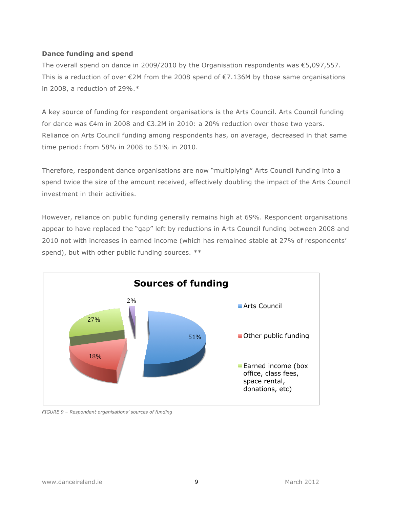# **Dance funding and spend**

The overall spend on dance in 2009/2010 by the Organisation respondents was  $\epsilon$ 5,097,557. This is a reduction of over  $\epsilon$ 2M from the 2008 spend of  $\epsilon$ 7.136M by those same organisations in 2008, a reduction of 29%.\*

A key source of funding for respondent organisations is the Arts Council. Arts Council funding for dance was €4m in 2008 and €3.2M in 2010: a 20% reduction over those two years. Reliance on Arts Council funding among respondents has, on average, decreased in that same time period: from 58% in 2008 to 51% in 2010.

Therefore, respondent dance organisations are now "multiplying" Arts Council funding into a spend twice the size of the amount received, effectively doubling the impact of the Arts Council investment in their activities.

However, reliance on public funding generally remains high at 69%. Respondent organisations appear to have replaced the "gap" left by reductions in Arts Council funding between 2008 and 2010 not with increases in earned income (which has remained stable at 27% of respondents' spend), but with other public funding sources. \*\*



*FIGURE 9 – Respondent organisations' sources of funding*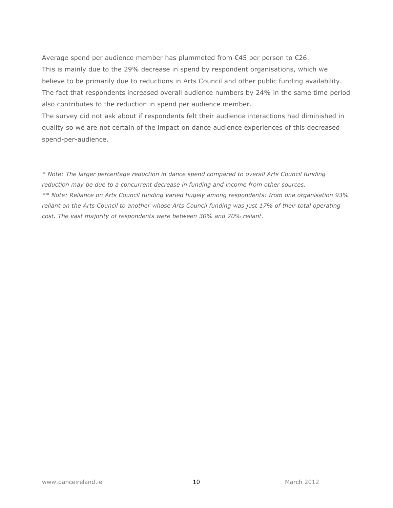Average spend per audience member has plummeted from  $\epsilon$ 45 per person to  $\epsilon$ 26. This is mainly due to the 29% decrease in spend by respondent organisations, which we believe to be primarily due to reductions in Arts Council and other public funding availability. The fact that respondents increased overall audience numbers by 24% in the same time period also contributes to the reduction in spend per audience member.

The survey did not ask about if respondents felt their audience interactions had diminished in quality so we are not certain of the impact on dance audience experiences of this decreased spend-per-audience.

*\* Note: The larger percentage reduction in dance spend compared to overall Arts Council funding reduction may be due to a concurrent decrease in funding and income from other sources. \*\* Note: Reliance on Arts Council funding varied hugely among respondents: from one organisation 93% reliant on the Arts Council to another whose Arts Council funding was just 17% of their total operating cost. The vast majority of respondents were between 30% and 70% reliant.*